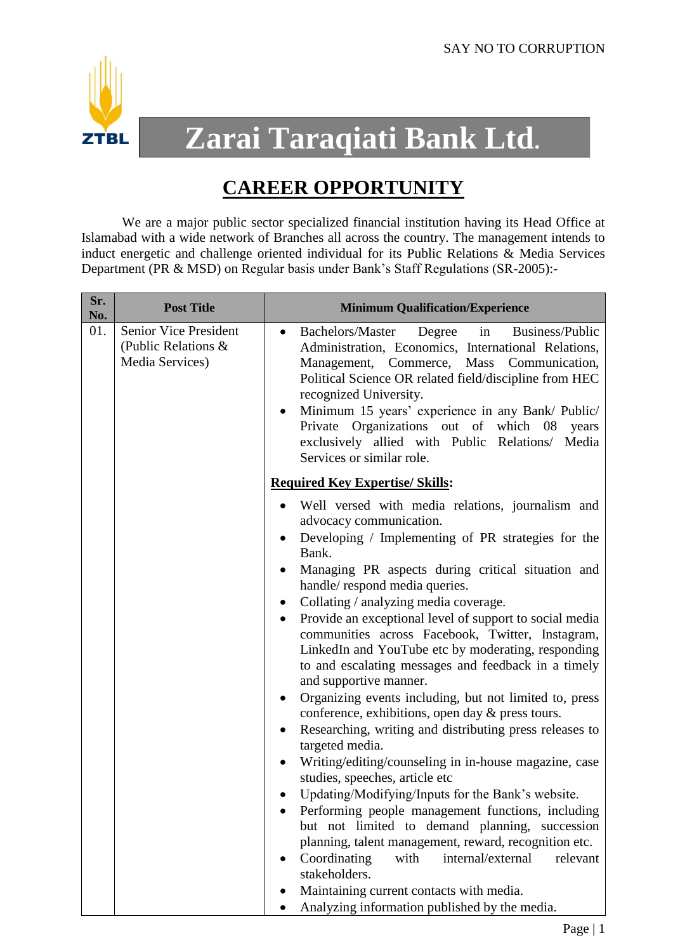

## **Zarai Taraqiati Bank Ltd.**

## **CAREER OPPORTUNITY**

We are a major public sector specialized financial institution having its Head Office at Islamabad with a wide network of Branches all across the country. The management intends to induct energetic and challenge oriented individual for its Public Relations & Media Services Department (PR & MSD) on Regular basis under Bank's Staff Regulations (SR-2005):-

| <b>Senior Vice President</b><br>01.<br><b>Bachelors/Master</b><br>Degree<br>in<br>$\bullet$<br>(Public Relations &<br>Media Services)<br>Management, Commerce, Mass<br>recognized University.<br>Private Organizations out of which 08<br>Services or similar role.<br><b>Required Key Expertise/ Skills:</b><br>$\bullet$<br>advocacy communication.<br>Bank.<br>handle/respond media queries.<br>Collating / analyzing media coverage.<br>$\bullet$<br>and supportive manner.<br>$\bullet$<br>conference, exhibitions, open day & press tours.<br>targeted media.<br>studies, speeches, article etc<br>Updating/Modifying/Inputs for the Bank's website.<br>$\bullet$ | Sr.<br>No. | <b>Post Title</b> | <b>Minimum Qualification/Experience</b>                                                                                                                                                                                                                                                                                                                                                                                                                                                                                                                                                                                                                                                                                                           |
|-------------------------------------------------------------------------------------------------------------------------------------------------------------------------------------------------------------------------------------------------------------------------------------------------------------------------------------------------------------------------------------------------------------------------------------------------------------------------------------------------------------------------------------------------------------------------------------------------------------------------------------------------------------------------|------------|-------------------|---------------------------------------------------------------------------------------------------------------------------------------------------------------------------------------------------------------------------------------------------------------------------------------------------------------------------------------------------------------------------------------------------------------------------------------------------------------------------------------------------------------------------------------------------------------------------------------------------------------------------------------------------------------------------------------------------------------------------------------------------|
|                                                                                                                                                                                                                                                                                                                                                                                                                                                                                                                                                                                                                                                                         |            |                   | Business/Public<br>Administration, Economics, International Relations,<br>Communication,<br>Political Science OR related field/discipline from HEC<br>Minimum 15 years' experience in any Bank/ Public/<br>years<br>exclusively allied with Public Relations/ Media                                                                                                                                                                                                                                                                                                                                                                                                                                                                               |
| with<br>Coordinating<br>internal/external<br>stakeholders.<br>Maintaining current contacts with media.<br>Analyzing information published by the media.                                                                                                                                                                                                                                                                                                                                                                                                                                                                                                                 |            |                   | Well versed with media relations, journalism and<br>Developing / Implementing of PR strategies for the<br>Managing PR aspects during critical situation and<br>Provide an exceptional level of support to social media<br>communities across Facebook, Twitter, Instagram,<br>LinkedIn and YouTube etc by moderating, responding<br>to and escalating messages and feedback in a timely<br>Organizing events including, but not limited to, press<br>Researching, writing and distributing press releases to<br>Writing/editing/counseling in in-house magazine, case<br>Performing people management functions, including<br>but not limited to demand planning, succession<br>planning, talent management, reward, recognition etc.<br>relevant |